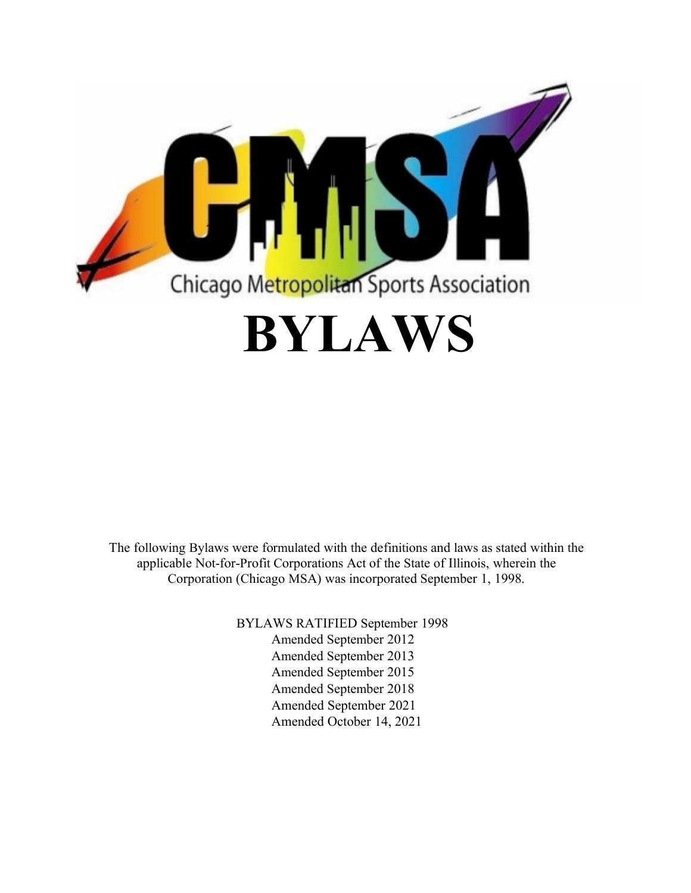

The following Bylaws were formulated with the definitions and laws as stated within the applicable Not-for-Profit Corporations Act of the State of Illinois, wherein the Corporation (Chicago MSA) was incorporated September 1, 1998.

> BYLAWS RATIFIED September 1998 Amended September 2012 Amended September 2013 Amended September 2015 Amended September 2018 Amended September 2021 Amended October 14, 2021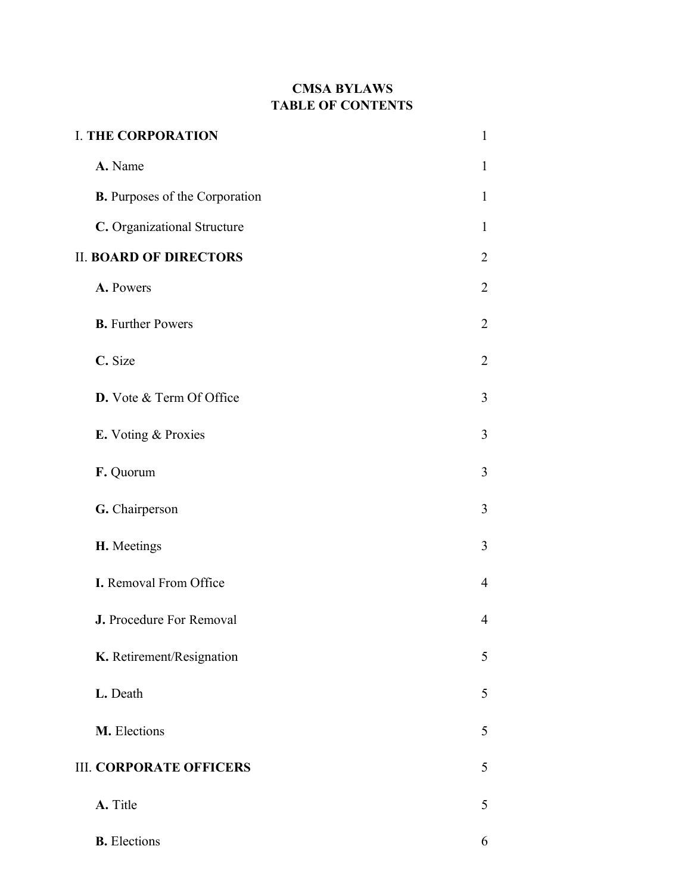# **CMSA BYLAWS TABLE OF CONTENTS**

| <b>I. THE CORPORATION</b>             | 1              |
|---------------------------------------|----------------|
| A. Name                               | 1              |
| <b>B.</b> Purposes of the Corporation | 1              |
| C. Organizational Structure           | 1              |
| <b>II. BOARD OF DIRECTORS</b>         |                |
| A. Powers                             | $\overline{2}$ |
| <b>B.</b> Further Powers              | $\overline{2}$ |
| C. Size                               | 2              |
| D. Vote & Term Of Office              | 3              |
| E. Voting & Proxies                   | 3              |
| F. Quorum                             | 3              |
| G. Chairperson                        | 3              |
| H. Meetings                           | 3              |
| I. Removal From Office                | 4              |
| J. Procedure For Removal              | 4              |
| K. Retirement/Resignation             | 5              |
| L. Death                              | 5              |
| M. Elections                          | 5              |
| <b>III. CORPORATE OFFICERS</b>        | 5              |
| A. Title                              | 5              |
| <b>B.</b> Elections                   | 6              |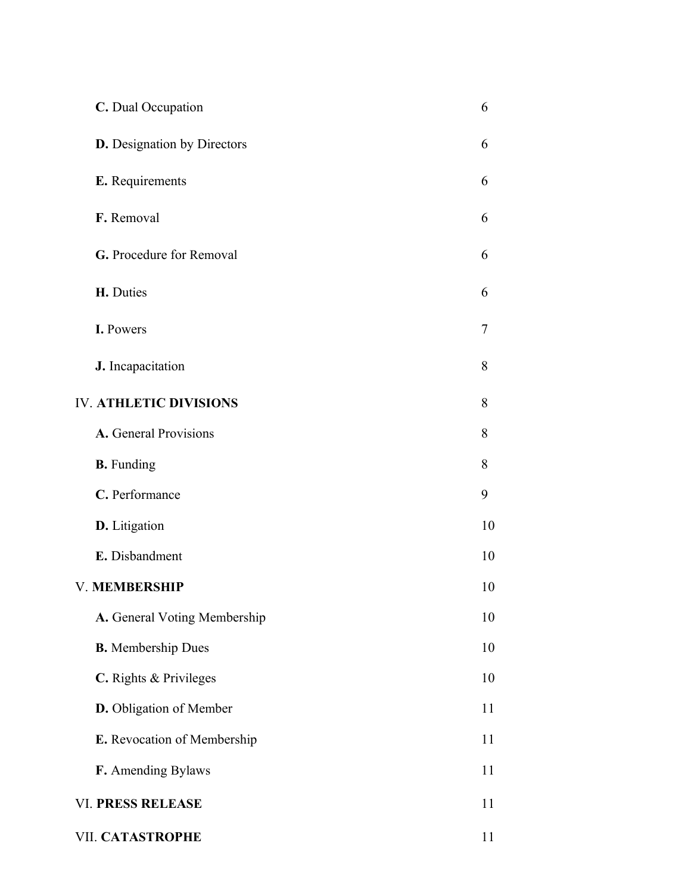| C. Dual Occupation            | 6              |
|-------------------------------|----------------|
| D. Designation by Directors   | 6              |
| E. Requirements               | 6              |
| F. Removal                    | 6              |
| G. Procedure for Removal      | 6              |
| H. Duties                     | 6              |
| I. Powers                     | $\overline{7}$ |
| J. Incapacitation             | 8              |
| <b>IV. ATHLETIC DIVISIONS</b> | 8              |
| A. General Provisions         | 8              |
| <b>B.</b> Funding             | 8              |
| C. Performance                | 9              |
| D. Litigation                 | 10             |
| E. Disbandment                | 10             |
| <b>V. MEMBERSHIP</b>          | 10             |
| A. General Voting Membership  | 10             |
| <b>B.</b> Membership Dues     | 10             |
| C. Rights & Privileges        | 10             |
| D. Obligation of Member       | 11             |
| E. Revocation of Membership   | 11             |
| F. Amending Bylaws            | 11             |
| <b>VI. PRESS RELEASE</b>      | 11             |
| VII. CATASTROPHE              | 11             |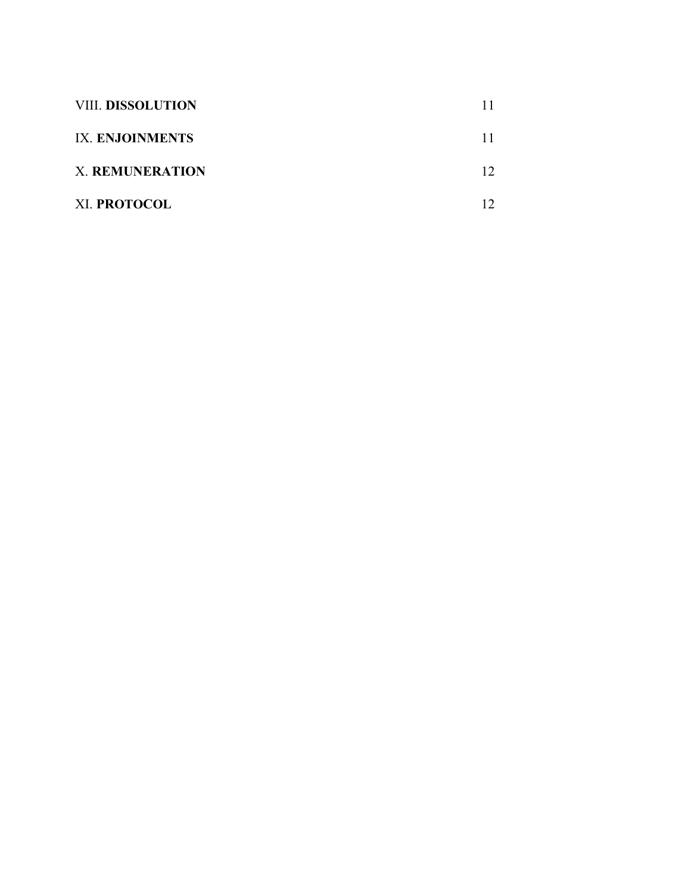| <b>VIII. DISSOLUTION</b> |    |
|--------------------------|----|
| IX. ENJOINMENTS          |    |
| <b>X. REMUNERATION</b>   | 12 |
| XI. PROTOCOL             |    |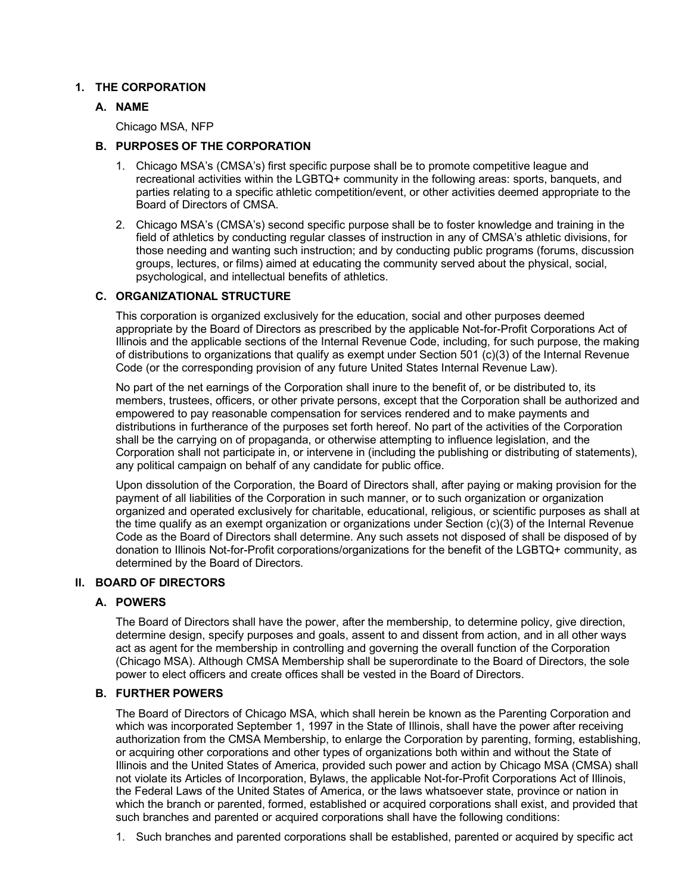# **1. THE CORPORATION**

# **A. NAME**

Chicago MSA, NFP

# **B. PURPOSES OF THE CORPORATION**

- 1. Chicago MSA's (CMSA's) first specific purpose shall be to promote competitive league and recreational activities within the LGBTQ+ community in the following areas: sports, banquets, and parties relating to a specific athletic competition/event, or other activities deemed appropriate to the Board of Directors of CMSA.
- 2. Chicago MSA's (CMSA's) second specific purpose shall be to foster knowledge and training in the field of athletics by conducting regular classes of instruction in any of CMSA's athletic divisions, for those needing and wanting such instruction; and by conducting public programs (forums, discussion groups, lectures, or films) aimed at educating the community served about the physical, social, psychological, and intellectual benefits of athletics.

# **C. ORGANIZATIONAL STRUCTURE**

This corporation is organized exclusively for the education, social and other purposes deemed appropriate by the Board of Directors as prescribed by the applicable Not-for-Profit Corporations Act of Illinois and the applicable sections of the Internal Revenue Code, including, for such purpose, the making of distributions to organizations that qualify as exempt under Section 501 (c)(3) of the Internal Revenue Code (or the corresponding provision of any future United States Internal Revenue Law).

No part of the net earnings of the Corporation shall inure to the benefit of, or be distributed to, its members, trustees, officers, or other private persons, except that the Corporation shall be authorized and empowered to pay reasonable compensation for services rendered and to make payments and distributions in furtherance of the purposes set forth hereof. No part of the activities of the Corporation shall be the carrying on of propaganda, or otherwise attempting to influence legislation, and the Corporation shall not participate in, or intervene in (including the publishing or distributing of statements), any political campaign on behalf of any candidate for public office.

Upon dissolution of the Corporation, the Board of Directors shall, after paying or making provision for the payment of all liabilities of the Corporation in such manner, or to such organization or organization organized and operated exclusively for charitable, educational, religious, or scientific purposes as shall at the time qualify as an exempt organization or organizations under Section (c)(3) of the Internal Revenue Code as the Board of Directors shall determine. Any such assets not disposed of shall be disposed of by donation to Illinois Not-for-Profit corporations/organizations for the benefit of the LGBTQ+ community, as determined by the Board of Directors.

#### **II. BOARD OF DIRECTORS**

# **A. POWERS**

The Board of Directors shall have the power, after the membership, to determine policy, give direction, determine design, specify purposes and goals, assent to and dissent from action, and in all other ways act as agent for the membership in controlling and governing the overall function of the Corporation (Chicago MSA). Although CMSA Membership shall be superordinate to the Board of Directors, the sole power to elect officers and create offices shall be vested in the Board of Directors.

# **B. FURTHER POWERS**

The Board of Directors of Chicago MSA, which shall herein be known as the Parenting Corporation and which was incorporated September 1, 1997 in the State of Illinois, shall have the power after receiving authorization from the CMSA Membership, to enlarge the Corporation by parenting, forming, establishing, or acquiring other corporations and other types of organizations both within and without the State of Illinois and the United States of America, provided such power and action by Chicago MSA (CMSA) shall not violate its Articles of Incorporation, Bylaws, the applicable Not-for-Profit Corporations Act of Illinois, the Federal Laws of the United States of America, or the laws whatsoever state, province or nation in which the branch or parented, formed, established or acquired corporations shall exist, and provided that such branches and parented or acquired corporations shall have the following conditions:

1. Such branches and parented corporations shall be established, parented or acquired by specific act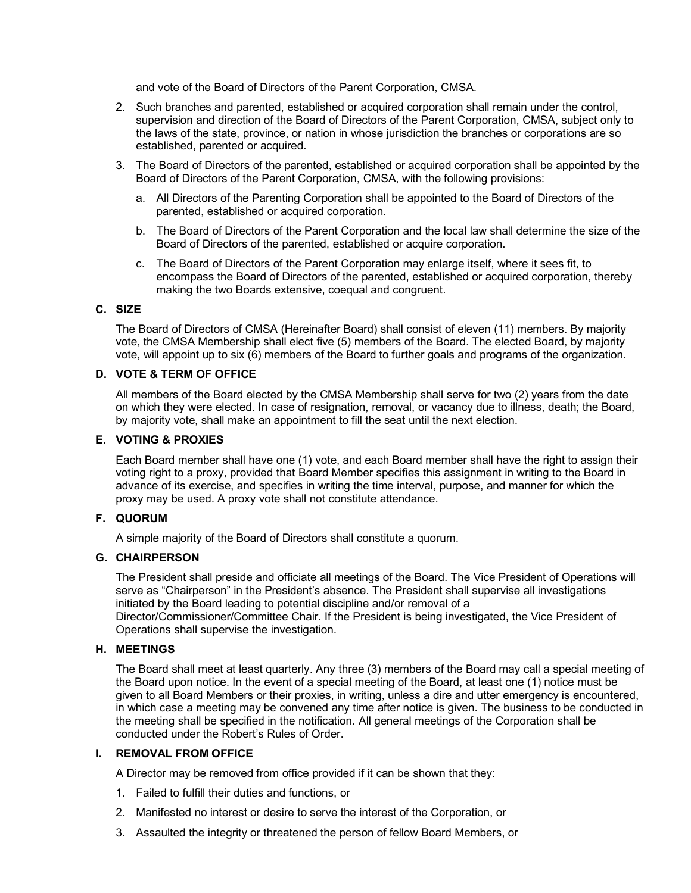and vote of the Board of Directors of the Parent Corporation, CMSA.

- 2. Such branches and parented, established or acquired corporation shall remain under the control, supervision and direction of the Board of Directors of the Parent Corporation, CMSA, subject only to the laws of the state, province, or nation in whose jurisdiction the branches or corporations are so established, parented or acquired.
- 3. The Board of Directors of the parented, established or acquired corporation shall be appointed by the Board of Directors of the Parent Corporation, CMSA, with the following provisions:
	- a. All Directors of the Parenting Corporation shall be appointed to the Board of Directors of the parented, established or acquired corporation.
	- b. The Board of Directors of the Parent Corporation and the local law shall determine the size of the Board of Directors of the parented, established or acquire corporation.
	- c. The Board of Directors of the Parent Corporation may enlarge itself, where it sees fit, to encompass the Board of Directors of the parented, established or acquired corporation, thereby making the two Boards extensive, coequal and congruent.

## **C. SIZE**

The Board of Directors of CMSA (Hereinafter Board) shall consist of eleven (11) members. By majority vote, the CMSA Membership shall elect five (5) members of the Board. The elected Board, by majority vote, will appoint up to six (6) members of the Board to further goals and programs of the organization.

# **D. VOTE & TERM OF OFFICE**

All members of the Board elected by the CMSA Membership shall serve for two (2) years from the date on which they were elected. In case of resignation, removal, or vacancy due to illness, death; the Board, by majority vote, shall make an appointment to fill the seat until the next election.

# **E. VOTING & PROXIES**

Each Board member shall have one (1) vote, and each Board member shall have the right to assign their voting right to a proxy, provided that Board Member specifies this assignment in writing to the Board in advance of its exercise, and specifies in writing the time interval, purpose, and manner for which the proxy may be used. A proxy vote shall not constitute attendance.

# **F. QUORUM**

A simple majority of the Board of Directors shall constitute a quorum.

#### **G. CHAIRPERSON**

The President shall preside and officiate all meetings of the Board. The Vice President of Operations will serve as "Chairperson" in the President's absence. The President shall supervise all investigations initiated by the Board leading to potential discipline and/or removal of a Director/Commissioner/Committee Chair. If the President is being investigated, the Vice President of Operations shall supervise the investigation.

#### **H. MEETINGS**

The Board shall meet at least quarterly. Any three (3) members of the Board may call a special meeting of the Board upon notice. In the event of a special meeting of the Board, at least one (1) notice must be given to all Board Members or their proxies, in writing, unless a dire and utter emergency is encountered, in which case a meeting may be convened any time after notice is given. The business to be conducted in the meeting shall be specified in the notification. All general meetings of the Corporation shall be conducted under the Robert's Rules of Order.

#### **I. REMOVAL FROM OFFICE**

A Director may be removed from office provided if it can be shown that they:

- 1. Failed to fulfill their duties and functions, or
- 2. Manifested no interest or desire to serve the interest of the Corporation, or
- 3. Assaulted the integrity or threatened the person of fellow Board Members, or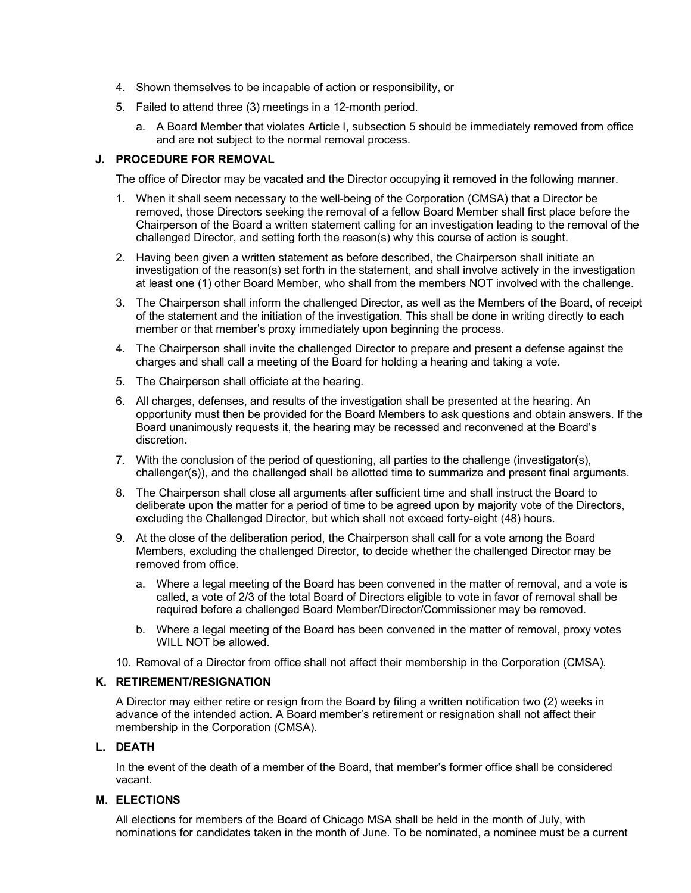- 4. Shown themselves to be incapable of action or responsibility, or
- 5. Failed to attend three (3) meetings in a 12-month period.
	- a. A Board Member that violates Article I, subsection 5 should be immediately removed from office and are not subject to the normal removal process.

# **J. PROCEDURE FOR REMOVAL**

The office of Director may be vacated and the Director occupying it removed in the following manner.

- 1. When it shall seem necessary to the well-being of the Corporation (CMSA) that a Director be removed, those Directors seeking the removal of a fellow Board Member shall first place before the Chairperson of the Board a written statement calling for an investigation leading to the removal of the challenged Director, and setting forth the reason(s) why this course of action is sought.
- 2. Having been given a written statement as before described, the Chairperson shall initiate an investigation of the reason(s) set forth in the statement, and shall involve actively in the investigation at least one (1) other Board Member, who shall from the members NOT involved with the challenge.
- 3. The Chairperson shall inform the challenged Director, as well as the Members of the Board, of receipt of the statement and the initiation of the investigation. This shall be done in writing directly to each member or that member's proxy immediately upon beginning the process.
- 4. The Chairperson shall invite the challenged Director to prepare and present a defense against the charges and shall call a meeting of the Board for holding a hearing and taking a vote.
- 5. The Chairperson shall officiate at the hearing.
- 6. All charges, defenses, and results of the investigation shall be presented at the hearing. An opportunity must then be provided for the Board Members to ask questions and obtain answers. If the Board unanimously requests it, the hearing may be recessed and reconvened at the Board's discretion.
- 7. With the conclusion of the period of questioning, all parties to the challenge (investigator(s), challenger(s)), and the challenged shall be allotted time to summarize and present final arguments.
- 8. The Chairperson shall close all arguments after sufficient time and shall instruct the Board to deliberate upon the matter for a period of time to be agreed upon by majority vote of the Directors, excluding the Challenged Director, but which shall not exceed forty-eight (48) hours.
- 9. At the close of the deliberation period, the Chairperson shall call for a vote among the Board Members, excluding the challenged Director, to decide whether the challenged Director may be removed from office.
	- a. Where a legal meeting of the Board has been convened in the matter of removal, and a vote is called, a vote of 2/3 of the total Board of Directors eligible to vote in favor of removal shall be required before a challenged Board Member/Director/Commissioner may be removed.
	- b. Where a legal meeting of the Board has been convened in the matter of removal, proxy votes WILL NOT be allowed.
- 10. Removal of a Director from office shall not affect their membership in the Corporation (CMSA).

# **K. RETIREMENT/RESIGNATION**

A Director may either retire or resign from the Board by filing a written notification two (2) weeks in advance of the intended action. A Board member's retirement or resignation shall not affect their membership in the Corporation (CMSA).

# **L. DEATH**

In the event of the death of a member of the Board, that member's former office shall be considered vacant.

# **M. ELECTIONS**

All elections for members of the Board of Chicago MSA shall be held in the month of July, with nominations for candidates taken in the month of June. To be nominated, a nominee must be a current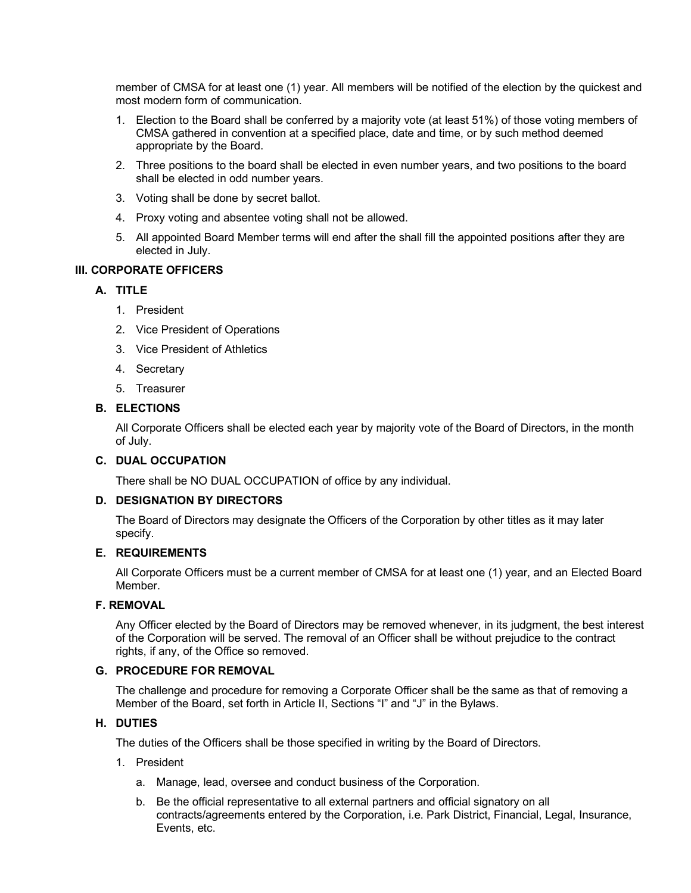member of CMSA for at least one (1) year. All members will be notified of the election by the quickest and most modern form of communication.

- 1. Election to the Board shall be conferred by a majority vote (at least 51%) of those voting members of CMSA gathered in convention at a specified place, date and time, or by such method deemed appropriate by the Board.
- 2. Three positions to the board shall be elected in even number years, and two positions to the board shall be elected in odd number years.
- 3. Voting shall be done by secret ballot.
- 4. Proxy voting and absentee voting shall not be allowed.
- 5. All appointed Board Member terms will end after the shall fill the appointed positions after they are elected in July.

# **III. CORPORATE OFFICERS**

# **A. TITLE**

- 1. President
- 2. Vice President of Operations
- 3. Vice President of Athletics
- 4. Secretary
- 5. Treasurer

# **B. ELECTIONS**

All Corporate Officers shall be elected each year by majority vote of the Board of Directors, in the month of July.

#### **C. DUAL OCCUPATION**

There shall be NO DUAL OCCUPATION of office by any individual.

#### **D. DESIGNATION BY DIRECTORS**

The Board of Directors may designate the Officers of the Corporation by other titles as it may later specify.

#### **E. REQUIREMENTS**

All Corporate Officers must be a current member of CMSA for at least one (1) year, and an Elected Board Member.

#### **F. REMOVAL**

Any Officer elected by the Board of Directors may be removed whenever, in its judgment, the best interest of the Corporation will be served. The removal of an Officer shall be without prejudice to the contract rights, if any, of the Office so removed.

# **G. PROCEDURE FOR REMOVAL**

The challenge and procedure for removing a Corporate Officer shall be the same as that of removing a Member of the Board, set forth in Article II, Sections "I" and "J" in the Bylaws.

## **H. DUTIES**

The duties of the Officers shall be those specified in writing by the Board of Directors.

- 1. President
	- a. Manage, lead, oversee and conduct business of the Corporation.
	- b. Be the official representative to all external partners and official signatory on all contracts/agreements entered by the Corporation, i.e. Park District, Financial, Legal, Insurance, Events, etc.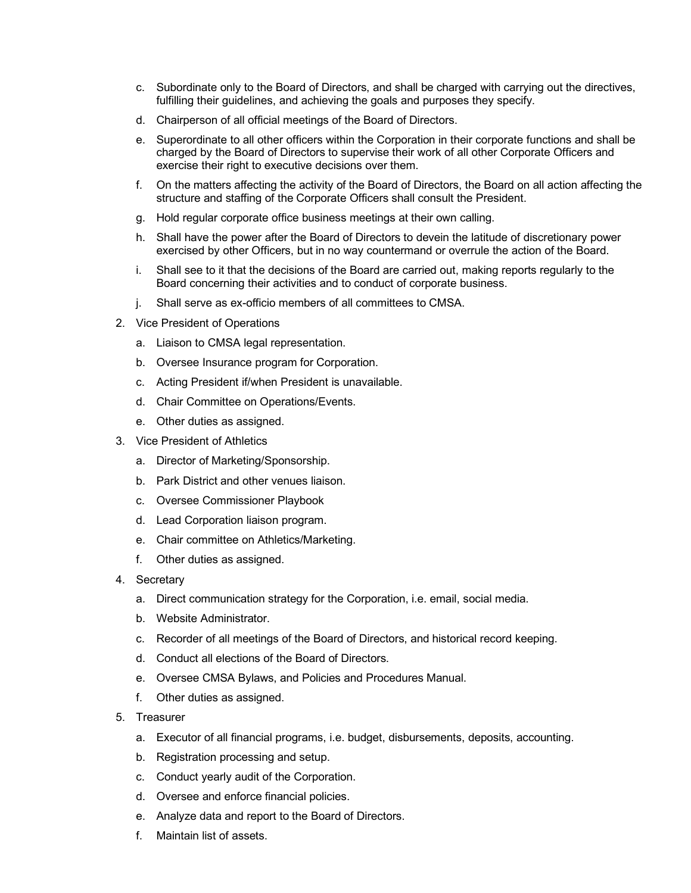- c. Subordinate only to the Board of Directors, and shall be charged with carrying out the directives, fulfilling their guidelines, and achieving the goals and purposes they specify.
- d. Chairperson of all official meetings of the Board of Directors.
- e. Superordinate to all other officers within the Corporation in their corporate functions and shall be charged by the Board of Directors to supervise their work of all other Corporate Officers and exercise their right to executive decisions over them.
- f. On the matters affecting the activity of the Board of Directors, the Board on all action affecting the structure and staffing of the Corporate Officers shall consult the President.
- g. Hold regular corporate office business meetings at their own calling.
- h. Shall have the power after the Board of Directors to devein the latitude of discretionary power exercised by other Officers, but in no way countermand or overrule the action of the Board.
- i. Shall see to it that the decisions of the Board are carried out, making reports regularly to the Board concerning their activities and to conduct of corporate business.
- j. Shall serve as ex-officio members of all committees to CMSA.
- 2. Vice President of Operations
	- a. Liaison to CMSA legal representation.
	- b. Oversee Insurance program for Corporation.
	- c. Acting President if/when President is unavailable.
	- d. Chair Committee on Operations/Events.
	- e. Other duties as assigned.
- 3. Vice President of Athletics
	- a. Director of Marketing/Sponsorship.
	- b. Park District and other venues liaison.
	- c. Oversee Commissioner Playbook
	- d. Lead Corporation liaison program.
	- e. Chair committee on Athletics/Marketing.
	- f. Other duties as assigned.
- 4. Secretary
	- a. Direct communication strategy for the Corporation, i.e. email, social media.
	- b. Website Administrator.
	- c. Recorder of all meetings of the Board of Directors, and historical record keeping.
	- d. Conduct all elections of the Board of Directors.
	- e. Oversee CMSA Bylaws, and Policies and Procedures Manual.
	- f. Other duties as assigned.
- 5. Treasurer
	- a. Executor of all financial programs, i.e. budget, disbursements, deposits, accounting.
	- b. Registration processing and setup.
	- c. Conduct yearly audit of the Corporation.
	- d. Oversee and enforce financial policies.
	- e. Analyze data and report to the Board of Directors.
	- f. Maintain list of assets.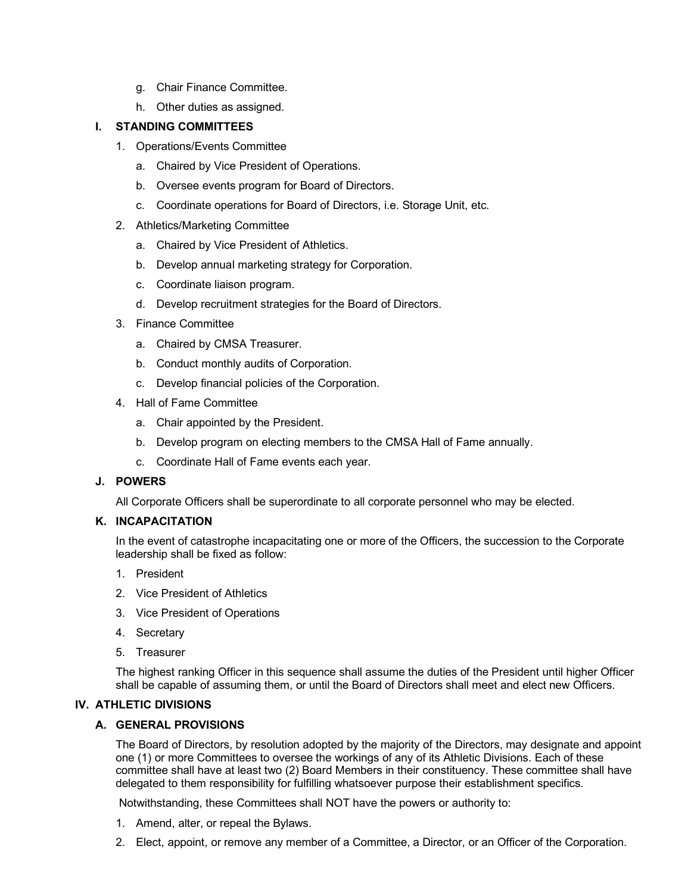- g. Chair Finance Committee.
- h. Other duties as assigned.

# **I. STANDING COMMITTEES**

- 1. Operations/Events Committee
	- a. Chaired by Vice President of Operations.
	- b. Oversee events program for Board of Directors.
	- c. Coordinate operations for Board of Directors, i.e. Storage Unit, etc.
- 2. Athletics/Marketing Committee
	- a. Chaired by Vice President of Athletics.
	- b. Develop annual marketing strategy for Corporation.
	- c. Coordinate liaison program.
	- d. Develop recruitment strategies for the Board of Directors.
- 3. Finance Committee
	- a. Chaired by CMSA Treasurer.
	- b. Conduct monthly audits of Corporation.
	- c. Develop financial policies of the Corporation.
- 4. Hall of Fame Committee
	- a. Chair appointed by the President.
	- b. Develop program on electing members to the CMSA Hall of Fame annually.
	- c. Coordinate Hall of Fame events each year.

#### **J. POWERS**

All Corporate Officers shall be superordinate to all corporate personnel who may be elected.

#### **K. INCAPACITATION**

In the event of catastrophe incapacitating one or more of the Officers, the succession to the Corporate leadership shall be fixed as follow:

- 1. President
- 2. Vice President of Athletics
- 3. Vice President of Operations
- 4. Secretary
- 5. Treasurer

The highest ranking Officer in this sequence shall assume the duties of the President until higher Officer shall be capable of assuming them, or until the Board of Directors shall meet and elect new Officers.

# **IV. ATHLETIC DIVISIONS**

# **A. GENERAL PROVISIONS**

The Board of Directors, by resolution adopted by the majority of the Directors, may designate and appoint one (1) or more Committees to oversee the workings of any of its Athletic Divisions. Each of these committee shall have at least two (2) Board Members in their constituency. These committee shall have delegated to them responsibility for fulfilling whatsoever purpose their establishment specifics.

Notwithstanding, these Committees shall NOT have the powers or authority to:

- 1. Amend, alter, or repeal the Bylaws.
- 2. Elect, appoint, or remove any member of a Committee, a Director, or an Officer of the Corporation.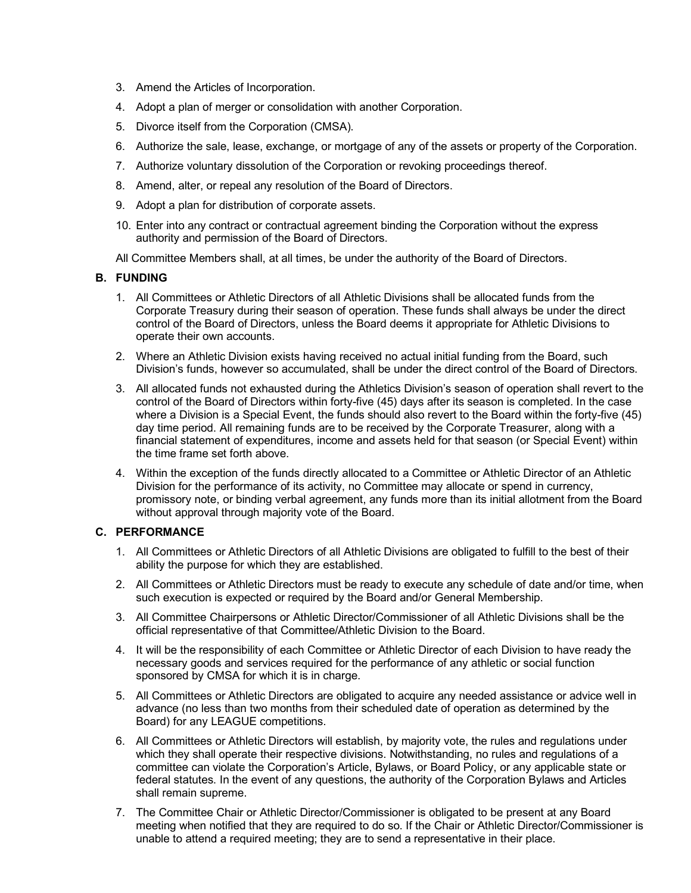- 3. Amend the Articles of Incorporation.
- 4. Adopt a plan of merger or consolidation with another Corporation.
- 5. Divorce itself from the Corporation (CMSA).
- 6. Authorize the sale, lease, exchange, or mortgage of any of the assets or property of the Corporation.
- 7. Authorize voluntary dissolution of the Corporation or revoking proceedings thereof.
- 8. Amend, alter, or repeal any resolution of the Board of Directors.
- 9. Adopt a plan for distribution of corporate assets.
- 10. Enter into any contract or contractual agreement binding the Corporation without the express authority and permission of the Board of Directors.
- All Committee Members shall, at all times, be under the authority of the Board of Directors.

# **B. FUNDING**

- 1. All Committees or Athletic Directors of all Athletic Divisions shall be allocated funds from the Corporate Treasury during their season of operation. These funds shall always be under the direct control of the Board of Directors, unless the Board deems it appropriate for Athletic Divisions to operate their own accounts.
- 2. Where an Athletic Division exists having received no actual initial funding from the Board, such Division's funds, however so accumulated, shall be under the direct control of the Board of Directors.
- 3. All allocated funds not exhausted during the Athletics Division's season of operation shall revert to the control of the Board of Directors within forty-five (45) days after its season is completed. In the case where a Division is a Special Event, the funds should also revert to the Board within the forty-five (45) day time period. All remaining funds are to be received by the Corporate Treasurer, along with a financial statement of expenditures, income and assets held for that season (or Special Event) within the time frame set forth above.
- 4. Within the exception of the funds directly allocated to a Committee or Athletic Director of an Athletic Division for the performance of its activity, no Committee may allocate or spend in currency, promissory note, or binding verbal agreement, any funds more than its initial allotment from the Board without approval through majority vote of the Board.

## **C. PERFORMANCE**

- 1. All Committees or Athletic Directors of all Athletic Divisions are obligated to fulfill to the best of their ability the purpose for which they are established.
- 2. All Committees or Athletic Directors must be ready to execute any schedule of date and/or time, when such execution is expected or required by the Board and/or General Membership.
- 3. All Committee Chairpersons or Athletic Director/Commissioner of all Athletic Divisions shall be the official representative of that Committee/Athletic Division to the Board.
- 4. It will be the responsibility of each Committee or Athletic Director of each Division to have ready the necessary goods and services required for the performance of any athletic or social function sponsored by CMSA for which it is in charge.
- 5. All Committees or Athletic Directors are obligated to acquire any needed assistance or advice well in advance (no less than two months from their scheduled date of operation as determined by the Board) for any LEAGUE competitions.
- 6. All Committees or Athletic Directors will establish, by majority vote, the rules and regulations under which they shall operate their respective divisions. Notwithstanding, no rules and regulations of a committee can violate the Corporation's Article, Bylaws, or Board Policy, or any applicable state or federal statutes. In the event of any questions, the authority of the Corporation Bylaws and Articles shall remain supreme.
- 7. The Committee Chair or Athletic Director/Commissioner is obligated to be present at any Board meeting when notified that they are required to do so. If the Chair or Athletic Director/Commissioner is unable to attend a required meeting; they are to send a representative in their place.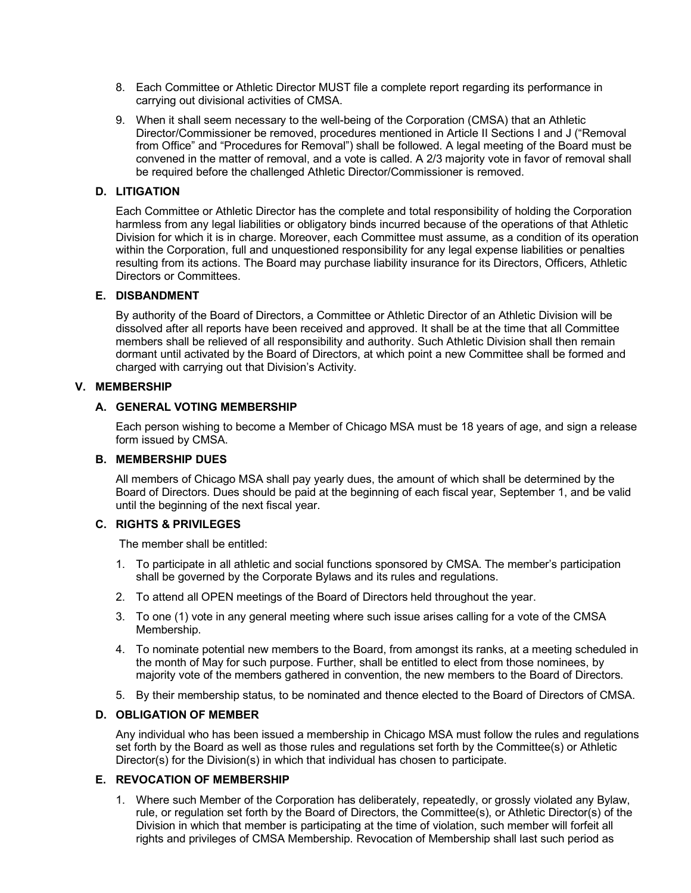- 8. Each Committee or Athletic Director MUST file a complete report regarding its performance in carrying out divisional activities of CMSA.
- 9. When it shall seem necessary to the well-being of the Corporation (CMSA) that an Athletic Director/Commissioner be removed, procedures mentioned in Article II Sections I and J ("Removal from Office" and "Procedures for Removal") shall be followed. A legal meeting of the Board must be convened in the matter of removal, and a vote is called. A 2/3 majority vote in favor of removal shall be required before the challenged Athletic Director/Commissioner is removed.

## **D. LITIGATION**

Each Committee or Athletic Director has the complete and total responsibility of holding the Corporation harmless from any legal liabilities or obligatory binds incurred because of the operations of that Athletic Division for which it is in charge. Moreover, each Committee must assume, as a condition of its operation within the Corporation, full and unquestioned responsibility for any legal expense liabilities or penalties resulting from its actions. The Board may purchase liability insurance for its Directors, Officers, Athletic Directors or Committees.

#### **E. DISBANDMENT**

By authority of the Board of Directors, a Committee or Athletic Director of an Athletic Division will be dissolved after all reports have been received and approved. It shall be at the time that all Committee members shall be relieved of all responsibility and authority. Such Athletic Division shall then remain dormant until activated by the Board of Directors, at which point a new Committee shall be formed and charged with carrying out that Division's Activity.

# **V. MEMBERSHIP**

# **A. GENERAL VOTING MEMBERSHIP**

Each person wishing to become a Member of Chicago MSA must be 18 years of age, and sign a release form issued by CMSA.

## **B. MEMBERSHIP DUES**

All members of Chicago MSA shall pay yearly dues, the amount of which shall be determined by the Board of Directors. Dues should be paid at the beginning of each fiscal year, September 1, and be valid until the beginning of the next fiscal year.

#### **C. RIGHTS & PRIVILEGES**

The member shall be entitled:

- 1. To participate in all athletic and social functions sponsored by CMSA. The member's participation shall be governed by the Corporate Bylaws and its rules and regulations.
- 2. To attend all OPEN meetings of the Board of Directors held throughout the year.
- 3. To one (1) vote in any general meeting where such issue arises calling for a vote of the CMSA Membership.
- 4. To nominate potential new members to the Board, from amongst its ranks, at a meeting scheduled in the month of May for such purpose. Further, shall be entitled to elect from those nominees, by majority vote of the members gathered in convention, the new members to the Board of Directors.
- 5. By their membership status, to be nominated and thence elected to the Board of Directors of CMSA.

#### **D. OBLIGATION OF MEMBER**

Any individual who has been issued a membership in Chicago MSA must follow the rules and regulations set forth by the Board as well as those rules and regulations set forth by the Committee(s) or Athletic Director(s) for the Division(s) in which that individual has chosen to participate.

#### **E. REVOCATION OF MEMBERSHIP**

1. Where such Member of the Corporation has deliberately, repeatedly, or grossly violated any Bylaw, rule, or regulation set forth by the Board of Directors, the Committee(s), or Athletic Director(s) of the Division in which that member is participating at the time of violation, such member will forfeit all rights and privileges of CMSA Membership. Revocation of Membership shall last such period as